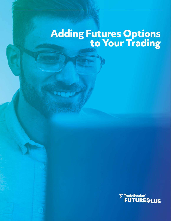# **Adding Futures Options to Your Trading**

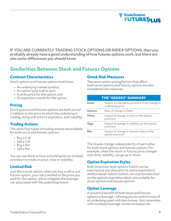# **T TradeStation**® **FUTURES<sub>plus</sub>**

IF YOU ARE CURRENTLY TRADING STOCK OPTIONS OR INDEX OPTIONS, then you probably already have a good understanding of how futures options work, but there are also some differences you should know.

# **Similarities Between Stock and Futures Options**

## **Contract Characteristics**

Stock options and futures options both have:

- An underlying market symbol;
- An option type (call or put);
- A strike price for the option; and
- An expiration month for the option.

### **Pricing**

Stock options and futures options are both priced in relation to the price at which the underlying is trading, along with time to expiration, and volatility.

## **Trading Actions**

The same four types of trading actions are available for both stock and futures options:

- Buy a Call
- Sell a Call
- Buy a Put
- Sell a Put

You can use these actions as building blocks to build a position to trade on price, time or volatility.

## **Limited Risk**

Just like a stock option, when you buy a call or put futures option, your risk is limited to the price you paid for the option, which mitigates the leverage risk associated with the underlying future.

#### **Greek Risk Measures**

The same option pricing factors that affect both stock options and futures options are also considered risk measures.

|       | <b>THE "GREEKS" SUMMARY</b>                                     |
|-------|-----------------------------------------------------------------|
| Delta | Impact on the option premium from change in<br>underlying price |
| Gamma | Rate of change in Delta                                         |
| Theta | Impact of change in time on the option<br>premium               |
| Vega  | Impact of change in volatility on the option<br>premium         |
| Rho   | Impact of change in interest rates on the<br>option premium     |

The Greeks change independently of each other for both stock options and futures options. For example, when the stock or futures price changes over time, volatility can go up or down.

## **Option Expiration Styles**

Both American-style options (which can be exercised at any time prior to option expiration), and European options (which can *only* be exercised on the option's expiration date), are available for stock options and futures options.

#### **Option Leverage**

A powerful benefit of both stock and futures options is leverage – allowing you to control more of an underlying asset with less money – but remember with increased leverage comes increased risk.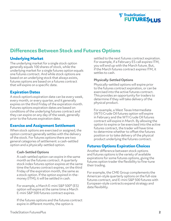# **T TradeStation**® **FUTURES<sub>plus</sub>**

# **Differences Between Stock and Futures Options**

## **Underlying Market**

The underlying market for a single stock option generally equals 100 shares of stock, while the underlying market for a single futures option equals one futures contract. And while stock options are based on an underlying stock that always exists, futures options are based on a futures contract that will expire on a specific date.

### **Expiration Dates**

A stock option's expiration date can be every week, every month, or every quarter, and it generally expires on the third Friday of the expiration month. Futures options expiration dates are based on conditions of the underlying futures contract and they can expire on any day of the week, generally prior to the futures expiration date.

### **Exercise and Assignment Settlement**

When stock options are exercised or assigned, the option contract generally settles with the delivery of the stock. For futures options there are two general categories of settlement: a cash-settled option and a physically-settled option.

#### **Cash-Settled Options**

A cash-settled option can expire in the same month as the futures contract. A quarterly stock index futures option expires at the same time the futures contract expires, on the third Friday of the expiration month, the same as a stock option. If the option expired in-themoney (ITM), it will be settled in cash.

For example, a March E-mini S&P 500® (ES) option will expire at the same time a March E-mini S&P 500 futures contract expires.

If the futures options and the futures contract expire in different months, the option is

settled to the next futures contract expiration. For example, if a February ES call expires ITM, you will end up with the March future. But, if the March futures contract expires ITM, it settles to cash.

#### **Physically-Settled Options**

Physically-settled options will expire prior to the futures contract expiration, or can be exercised into the active futures contract. This provides an opportunity for traders to determine if they will take delivery of the physical product.

For example, a West Texas Intermediate (WTI) Crude Oil futures option will expire in February and the WTI Crude Oil futures contract will expire in March. By allowing the option to expire or be exercised into the active futures contract, the trader will have time to determine whether to offset the futures position or to take delivery of the physical product underlying the futures contract.

## **Futures Options Expiration Choices**

Another difference between stock options and futures options is the variety of available expirations for some futures options, giving the futures option trader the flexibility to fine-tune their trading.

For example, the CME Group complements the American-style quarterly options on the full-size futures contract, and E-mini S&P 500 futures with European-style contracts expand strategy and date flexibility.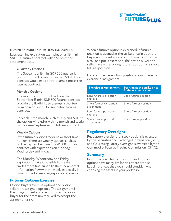

#### **E-MINI S&P 500 EXPIRATION EXAMPLES**

Let's examine expiration examples on an E-mini S&P 500 futures contract with a September settlement date.

#### **Quarterly Options**

The September E-mini S&P 500 quarterly option contract on an E-mini S&P 500 futures contract would expire at the same time as the futures contract.

#### **Monthly Options**

The monthly option contracts on the September E-mini S&P 500 futures contract provide the flexibility to express a shorterterm opinion on this longer-dated futures contract.

For each listed month, such as July and August, the option will expire within a month and settle to the same September ES futures contract.

#### **Weekly Options**

If the futures option trader has a short time horizon, there are weekly options choices on the September E-mini S&P 500 futures contract with expirations on Monday, Wednesday and Friday.

The Monday, Wednesday and Friday expirations make it possible to create trades more fine-tuned to the fundamental information flow within a week, especially in front of market-moving reports and events.

#### **Futures Options Exercise**

Option buyers exercise options and option sellers are assigned options. The assignment is the obligation sellers take opposite the option buyer for the premium received to accept the assignment risk.

When a futures option is exercised, a futures position is opened at the strike price in both the buyer and the seller's account. Based on whether a call or a put is exercised, the option buyer and seller have either a long futures position or a short futures position.

For example, here is how positions result based on exercise or assignment:

| <b>Exercise or Assignment</b>           | Position at the strike price<br>in the traders account |
|-----------------------------------------|--------------------------------------------------------|
| Long futures call option<br>exercise    | Long futures position                                  |
| Short futures call option<br>assignment | Short futures position                                 |
| Long futures put option<br>exercise     | Short futures position                                 |
| Short futures put option<br>assignment  | Long futures position                                  |

#### **Regulatory Oversight**

Regulatory oversight for stock options is overseen by the Securities and Exchange Commission (SEC) and futures regulatory oversight is overseen by the Commodity Futures Trading Commission (CFTC).

#### **Summary**

In summary, while stock options and futures options have many similarities, there are also key differences that you should consider when choosing the assets in your portfolio.